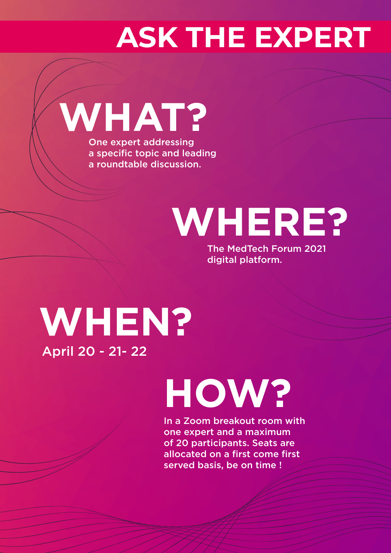## **ASK THE EXPERT**

**WHAT?** One expert addressing a specific topic and leading a roundtable discussion.

# **WHERE?**

The MedTech Forum 2021 digital platform.

## **WHEN?** April 20 - 21- 22

# **HOW?**

In a Zoom breakout room with one expert and a maximum of 20 participants. Seats are allocated on a first come first served basis, be on time !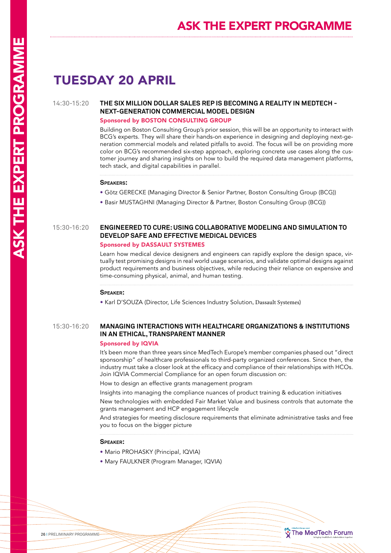## TUESDAY 20 APRIL

#### 14:30-15:20 **THE SIX MILLION DOLLAR SALES REP IS BECOMING A REALITY IN MEDTECH - NEXT-GENERATION COMMERCIAL MODEL DESIGN**

#### Sponsored by BOSTON CONSULTING GROUP

Building on Boston Consulting Group's prior session, this will be an opportunity to interact with BCG's experts. They will share their hands-on experience in designing and deploying next-generation commercial models and related pitfalls to avoid. The focus will be on providing more color on BCG's recommended six-step approach, exploring concrete use cases along the customer journey and sharing insights on how to build the required data management platforms, tech stack, and digital capabilities in parallel.

#### **Speakers:**

- Götz GERECKE (Managing Director & Senior Partner, Boston Consulting Group (BCG))
- Basir MUSTAGHNI (Managing Director & Partner, Boston Consulting Group (BCG))

#### 15:30-16:20 **ENGINEERED TO CURE: USING COLLABORATIVE MODELING AND SIMULATION TO DEVELOP SAFE AND EFFECTIVE MEDICAL DEVICES**

#### Sponsored by DASSAULT SYSTEMES

Learn how medical device designers and engineers can rapidly explore the design space, virtually test promising designs in real world usage scenarios, and validate optimal designs against product requirements and business objectives, while reducing their reliance on expensive and time-consuming physical, animal, and human testing.

#### **Speaker:**

• Karl D'SOUZA (Director, Life Sciences Industry Solution, Dassault Systemes)

#### 15:30-16:20 **MANAGING INTERACTIONS WITH HEALTHCARE ORGANIZATIONS & INSTITUTIONS IN AN ETHICAL, TRANSPARENT MANNER**

#### Sponsored by IQVIA

It's been more than three years since MedTech Europe's member companies phased out "direct sponsorship" of healthcare professionals to third-party organized conferences. Since then, the industry must take a closer look at the efficacy and compliance of their relationships with HCOs. Join IQVIA Commercial Compliance for an open forum discussion on:

How to design an effective grants management program

Insights into managing the compliance nuances of product training & education initiatives

New technologies with embedded Fair Market Value and business controls that automate the grants management and HCP engagement lifecycle

And strategies for meeting disclosure requirements that eliminate administrative tasks and free you to focus on the bigger picture

The MedTech Forum

#### **Speaker:**

- Mario PROHASKY (Principal, IQVIA)
- Mary FAULKNER (Program Manager, IQVIA)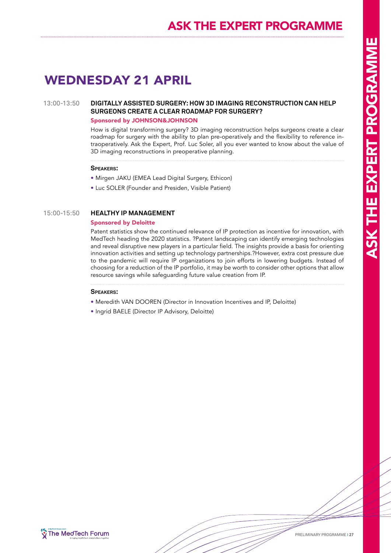## ASK THE EXPERT PROGRAMME

## WEDNESDAY 21 APRIL

#### 13:00-13:50 **DIGITALLY ASSISTED SURGERY: HOW 3D IMAGING RECONSTRUCTION CAN HELP SURGEONS CREATE A CLEAR ROADMAP FOR SURGERY?**

#### Sponsored by JOHNSON&JOHNSON

How is digital transforming surgery? 3D imaging reconstruction helps surgeons create a clear roadmap for surgery with the ability to plan pre-operatively and the flexibility to reference intraoperatively. Ask the Expert, Prof. Luc Soler, all you ever wanted to know about the value of 3D imaging reconstructions in preoperative planning.

#### **Speakers:**

- Mirgen JAKU (EMEA Lead Digital Surgery, Ethicon)
- Luc SOLER (Founder and Presiden, Visible Patient)

#### 15:00-15:50 **HEALTHY IP MANAGEMENT**

#### Sponsored by Deloitte

Patent statistics show the continued relevance of IP protection as incentive for innovation, with MedTech heading the 2020 statistics. ?Patent landscaping can identify emerging technologies and reveal disruptive new players in a particular field. The insights provide a basis for orienting innovation activities and setting up technology partnerships.?However, extra cost pressure due to the pandemic will require IP organizations to join efforts in lowering budgets. Instead of choosing for a reduction of the IP portfolio, it may be worth to consider other options that allow resource savings while safeguarding future value creation from IP.

#### **Speakers:**

- Meredith VAN DOOREN (Director in Innovation Incentives and IP, Deloitte)
- Ingrid BAELE (Director IP Advisory, Deloitte)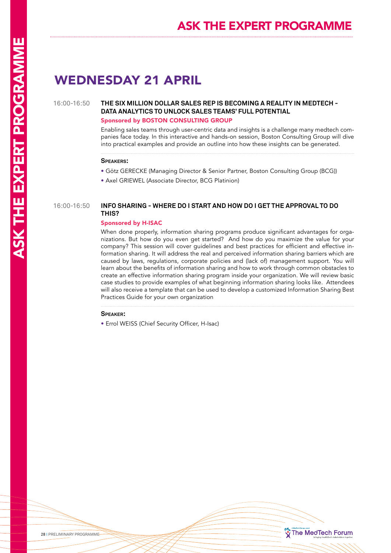## WEDNESDAY 21 APRIL

#### 16:00-16:50 **THE SIX MILLION DOLLAR SALES REP IS BECOMING A REALITY IN MEDTECH - DATA ANALYTICS TO UNLOCK SALES TEAMS' FULL POTENTIAL**

#### Sponsored by BOSTON CONSULTING GROUP

Enabling sales teams through user-centric data and insights is a challenge many medtech companies face today. In this interactive and hands-on session, Boston Consulting Group will dive into practical examples and provide an outline into how these insights can be generated.

#### **Speakers:**

- Götz GERECKE (Managing Director & Senior Partner, Boston Consulting Group (BCG))
- Axel GRIEWEL (Associate Director, BCG Platinion)

#### 16:00-16:50 **INFO SHARING - WHERE DO I START AND HOW DO I GET THE APPROVAL TO DO THIS?**

#### Sponsored by H-ISAC

When done properly, information sharing programs produce significant advantages for organizations. But how do you even get started? And how do you maximize the value for your company? This session will cover guidelines and best practices for efficient and effective information sharing. It will address the real and perceived information sharing barriers which are caused by laws, regulations, corporate policies and (lack of) management support. You will learn about the benefits of information sharing and how to work through common obstacles to create an effective information sharing program inside your organization. We will review basic case studies to provide examples of what beginning information sharing looks like. Attendees will also receive a template that can be used to develop a customized Information Sharing Best Practices Guide for your own organization

#### **Speaker:**

• Errol WEISS (Chief Security Officer, H-Isac)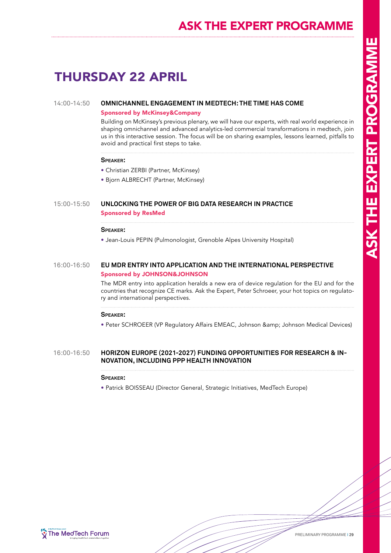## ASK THE EXPERT PROGRAMME

## THURSDAY 22 APRIL

#### 14:00-14:50 **OMNICHANNEL ENGAGEMENT IN MEDTECH: THE TIME HAS COME**

#### Sponsored by McKinsey&Company

Building on McKinsey's previous plenary, we will have our experts, with real world experience in shaping omnichannel and advanced analytics-led commercial transformations in medtech, join us in this interactive session. The focus will be on sharing examples, lessons learned, pitfalls to avoid and practical first steps to take.

#### **Speaker:**

- Christian ZERBI (Partner, McKinsey)
- Bjorn ALBRECHT (Partner, McKinsey)

#### 15:00-15:50 **UNLOCKING THE POWER OF BIG DATA RESEARCH IN PRACTICE** Sponsored by ResMed

#### **Speaker:**

• Jean-Louis PEPIN (Pulmonologist, Grenoble Alpes University Hospital)

#### 16:00-16:50 **EU MDR ENTRY INTO APPLICATION AND THE INTERNATIONAL PERSPECTIVE** Sponsored by JOHNSON&JOHNSON

The MDR entry into application heralds a new era of device regulation for the EU and for the countries that recognize CE marks. Ask the Expert, Peter Schroeer, your hot topics on regulatory and international perspectives.

#### **Speaker:**

• Peter SCHROEER (VP Regulatory Affairs EMEAC, Johnson & amp; Johnson Medical Devices)

#### 16:00-16:50 **HORIZON EUROPE (2021-2027) FUNDING OPPORTUNITIES FOR RESEARCH & IN-NOVATION, INCLUDING PPP HEALTH INNOVATION**

#### **Speaker:**

• Patrick BOISSEAU (Director General, Strategic Initiatives, MedTech Europe)



PRELIMINARY PROGRAMME I 29